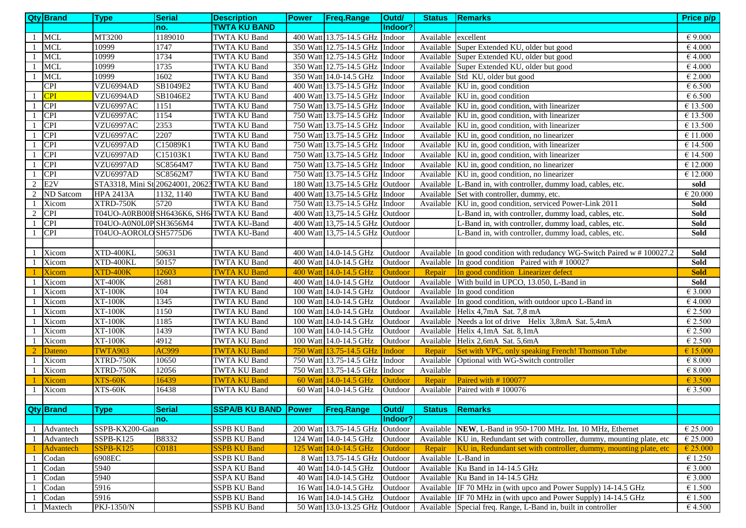|    | <b>Qty Brand</b> | <b>Type</b>                                   | <b>Serial</b> | <b>Description</b>              | <b>Power</b> | <b>Freq.Range</b>               | Outd/          | <b>Status</b>       | <b>Remarks</b>                                                             | Price p/p         |
|----|------------------|-----------------------------------------------|---------------|---------------------------------|--------------|---------------------------------|----------------|---------------------|----------------------------------------------------------------------------|-------------------|
|    |                  |                                               | no.           | <b>TWTA KU BAND</b>             |              |                                 | Indoor?        |                     |                                                                            |                   |
| -1 | <b>MCL</b>       | MT3200                                        | 1189010       | <b>TWTA KU Band</b>             |              | 400 Watt 13.75-14.5 GHz Indoor  |                | Available excellent |                                                                            | $\epsilon$ 9.000  |
|    | MCL              | 10999                                         | 1747          | <b>TWTA KU Band</b>             |              | 350 Watt 12.75-14.5 GHz Indoor  |                |                     | Available Super Extended KU, older but good                                | €4.000            |
|    | <b>MCL</b>       | 10999                                         | 1734          | <b>TWTA KU Band</b>             |              | 350 Watt 12.75-14.5 GHz Indoor  |                |                     | Available Super Extended KU, older but good                                | €4.000            |
|    | <b>MCL</b>       | 10999                                         | 1735          | TWTA KU Band                    |              | 350 Watt 12.75-14.5 GHz Indoor  |                |                     | Available Super Extended KU, older but good                                | €4.000            |
|    | MCL              | 10999                                         | 1602          | <b>TWTA KU Band</b>             |              | 350 Watt 14.0-14.5 GHz          | Indoor         |                     | Available Std KU, older but good                                           | $\epsilon$ 2.000  |
|    | <b>CPI</b>       | VZU6994AD                                     | SB1049E2      | TWTA KU Band                    |              | 400 Watt 13.75-14.5 GHz Indoor  |                |                     | Available KU in, good condition                                            | $\epsilon$ 6.500  |
|    | <b>CPI</b>       | VZU6994AD                                     | SB1046E2      | <b>TWTA KU Band</b>             |              | 400 Watt 13.75-14.5 GHz Indoor  |                |                     | Available KU in, good condition                                            | $\epsilon$ 6.500  |
|    | <b>CPI</b>       | VZU6997AC                                     | 1151          | <b>TWTA KU Band</b>             |              | 750 Watt 13.75-14.5 GHz Indoor  |                |                     | Available KU in, good condition, with linearizer                           | € 13.500          |
|    | <sub>CPI</sub>   | VZU6997AC                                     | 1154          | <b>TWTA KU Band</b>             |              | 750 Watt 13.75-14.5 GHz Indoor  |                |                     | Available KU in, good condition, with linearizer                           | € 13.500          |
|    | <b>CPI</b>       | VZU6997AC                                     | 2353          | <b>TWTA KU Band</b>             |              | 750 Watt 13.75-14.5 GHz Indoor  |                |                     | Available KU in, good condition, with linearizer                           | € 13.500          |
|    | <b>CPI</b>       | VZU6997AC                                     | 2207          | <b>TWTA KU Band</b>             |              | 750 Watt 13.75-14.5 GHz Indoor  |                |                     | Available KU in, good condition, no linearizer                             | $\epsilon$ 11.000 |
|    | <b>CPI</b>       | VZU6997AD                                     | C15089K1      | <b>TWTA KU Band</b>             |              | 750 Watt 13.75-14.5 GHz Indoor  |                |                     | Available KU in, good condition, with linearizer                           | € 14.500          |
|    | <b>CPI</b>       | VZU6997AD                                     | C15103K1      | <b>TWTA KU Band</b>             |              | 750 Watt 13.75-14.5 GHz Indoor  |                |                     | Available KU in, good condition, with linearizer                           | € 14.500          |
|    | <b>CPI</b>       | VZU6997AD                                     | SC8564M7      | <b>TWTA KU Band</b>             |              | 750 Watt 13.75-14.5 GHz Indoor  |                |                     | Available KU in, good condition, no linearizer                             | € 12.000          |
|    | CPI              | VZU6997AD                                     | SC8562M7      | <b>TWTA KU Band</b>             |              | 750 Watt 13.75-14.5 GHz Indoor  |                |                     | Available KU in, good condition, no linearizer                             | € 12.000          |
| 2  | E <sub>2V</sub>  | STA3318, Mini St 20624001, 20623 TWTA KU Band |               |                                 |              | 180 Watt 13.75-14.5 GHz Outdoor |                |                     | Available L-Band in, with controller, dummy load, cables, etc.             | sold              |
| 2  | <b>ND</b> Satcom | <b>HPA 2413A</b>                              | 1132, 1140    | TWTA KU Band                    |              | 400 Watt 13.75-14.5 GHz Indoor  |                |                     | Available Set with controller, dummy, etc.                                 | $\epsilon$ 20.000 |
|    | Xicom            | $\overline{\text{XTR}}$ D-750K                | 5720          | <b>TWTA KU Band</b>             |              | 750 Watt 13.75-14.5 GHz Indoor  |                |                     | Available KU in, good condition, serviced Power-Link 2011                  | Sold              |
| 2  | <b>CPI</b>       | T04UO-A0RB00B SH6436K6, SH6-TWTA KU Band      |               |                                 |              | 400 Watt 13,75-14.5 GHz Outdoor |                |                     | L-Band in, with controller, dummy load, cables, etc.                       | Sold              |
| -1 | <b>CPI</b>       | T04UO-A0N0L0PSH3656M4                         |               | TWTA KU-Band                    |              | 400 Watt 13,75-14.5 GHz Outdoor |                |                     | L-Band in, with controller, dummy load, cables, etc.                       | Sold              |
| -1 | <b>CPI</b>       | T04UO-AOROLO SH5775D6                         |               | <b>TWTA KU-Band</b>             |              | 400 Watt 13,75-14.5 GHz Outdoor |                |                     | L-Band in, with controller, dummy load, cables, etc.                       | Sold              |
|    |                  |                                               |               |                                 |              |                                 |                |                     |                                                                            |                   |
|    | Xicom            | XTD-400KL                                     | 50631         | <b>TWTA KU Band</b>             |              | 400 Watt 14.0-14.5 GHz          | Outdoor        |                     | Available In good condition with redudancy WG-Switch Paired w #100027.2    | <b>Sold</b>       |
|    | Xicom            | XTD-400KL                                     | 50157         | <b>TWTA KU Band</b>             |              | 400 Watt 14.0-14.5 GHz          | Outdoor        |                     | Available In good condition Paired with #100027                            | Sold              |
|    | <b>Xicom</b>     | XTD-400K                                      | 12603         | <b>TWTA KU Band</b>             |              | 400 Watt 14.0-14.5 GHz          | <b>Outdoor</b> | Repair              | In good condition Linearizer defect                                        | <b>Sold</b>       |
|    | Xicom            | <b>XT-400K</b>                                | 2681          | <b>TWTA KU Band</b>             |              | 400 Watt 14.0-14.5 GHz          | Outdoor        |                     | Available With build in UPCO, 13.050, L-Band in                            | Sold              |
|    | Xicom            | <b>XT-100K</b>                                | 104           | <b>TWTA KU Band</b>             |              | 100 Watt 14.0-14.5 GHz          | Outdoor        |                     | Available In good condition                                                | $\epsilon$ 3.000  |
|    | Xicom            | <b>XT-100K</b>                                | 1345          | <b>TWTA KU Band</b>             |              | 100 Watt 14.0-14.5 GHz          | Outdoor        |                     | Available In good condition, with outdoor upco L-Band in                   | €4.000            |
|    | Xicom            | <b>XT-100K</b>                                | 1150          | <b>TWTA KU Band</b>             |              | 100 Watt 14.0-14.5 GHz          | Outdoor        |                     | Available Helix 4,7mA Sat. 7,8 mA                                          | € 2.500           |
|    | Xicom            | <b>XT-100K</b>                                | 1185          | TWTA KU Band                    |              | 100 Watt 14.0-14.5 GHz          | Outdoor        | Available           | Needs a lot of drive Helix 3,8mA Sat. 5,4mA                                | $\epsilon$ 2.500  |
|    | Xicom            | <b>XT-100K</b>                                | 1439          | <b>TWTA KU Band</b>             |              | 100 Watt 14.0-14.5 GHz          | Outdoor        |                     | Available Helix 4,1mA Sat. 8,1mA                                           | $\epsilon$ 2.500  |
| -1 | Xicom            | <b>XT-100K</b>                                | 4912          | <b>TWTA KU Band</b>             |              | 100 Watt 14.0-14.5 GHz          | Outdoor        |                     | Available Helix 2,6mA Sat. 5,6mA                                           | $\epsilon$ 2.500  |
| 2  | Dateno           | TWTA903                                       | <b>AC999</b>  | <b>TWTA KU Band</b>             |              | 750 Watt 13.75-14.5 GHz         | Indoor         | Repair              | Set with VPC, only speaking French! Thomson Tube                           | € 15.000          |
|    | Xicom            | $\overline{\text{XTR}}$ D-750K                | 10650         | <b>TWTA KU Band</b>             |              | 750 Watt 13.75-14.5 GHz         | Indoor         | Available           | Optional with WG-Switch controller                                         | $\epsilon$ 8.000  |
|    | Xicom            | XTRD-750K                                     | 12056         | <b>TWTA KU Band</b>             |              | 750 Watt 13.75-14.5 GHz         | Indoor         | Available           |                                                                            | $\epsilon$ 8.000  |
|    | <b>Xicom</b>     | XTS-60K                                       | 16439         | <b>TWTA KU Band</b>             |              | 60 Watt 14.0-14.5 GHz           | Outdoor        | Repair              | Paired with #100077                                                        | € 3.500           |
|    | Xicom            | XTS-60K                                       | 16438         | <b>TWTA KU Band</b>             |              | 60 Watt 14.0-14.5 GHz           | Outdoor        | Available           | Paired with #100076                                                        | $\epsilon$ 3.500  |
|    |                  |                                               |               |                                 |              |                                 |                |                     |                                                                            |                   |
|    | <b>Qty Brand</b> | <b>Type</b>                                   | <b>Serial</b> | SSPA/B KU BAND Power Freq.Range |              |                                 | Outd/          |                     | Status Remarks                                                             |                   |
|    |                  |                                               | no.           |                                 |              |                                 | Indoor?        |                     |                                                                            |                   |
| -1 | Advantech        | SSPB-KX200-Gaan                               |               | <b>SSPB KU Band</b>             |              | 200 Watt 13.75-14.5 GHz Outdoor |                |                     | Available NEW, L-Band in 950-1700 MHz. Int. 10 MHz, Ethernet               | $\epsilon$ 25.000 |
| -1 | Advantech        | SSPB-K125                                     | B8332         | <b>SSPB KU Band</b>             |              | 124 Watt 14.0-14.5 GHz          | Outdoor        |                     | Available KU in, Redundant set with controller, dummy, mounting plate, etc | $\epsilon$ 25.000 |
|    | <b>Advantech</b> | $SSPB-K125$                                   | C0181         | <b>SSPB KU Band</b>             |              | 125 Watt 14.0-14.5 GHz          | Outdoor        | Repair              | KU in, Redundant set with controller, dummy, mounting plate, etc           | € 25.000          |
|    | Codan            | 6908EC                                        |               | <b>SSPB KU Band</b>             |              | 8 Watt 13.75-14.5 GHz Outdoor   |                | Available L-Band in |                                                                            | € 1.250           |
| -1 | Codan            | 5940                                          |               | SSPA KU Band                    |              | 40 Watt 14.0-14.5 GHz           | Outdoor        |                     | Available Ku Band in 14-14.5 GHz                                           | $\epsilon$ 3.000  |
|    | Codan            | 5940                                          |               | <b>SSPA KU Band</b>             |              | 40 Watt 14.0-14.5 GHz           | Outdoor        |                     | Available Ku Band in 14-14.5 GHz                                           | $\epsilon$ 3.000  |
|    | Codan            | 5916                                          |               | <b>SSPB KU Band</b>             |              | 16 Watt 14.0-14.5 GHz           | Outdoor        |                     | Available IF 70 MHz in (with upco and Power Supply) 14-14.5 GHz            | $\epsilon$ 1.500  |
|    | Codan            | 5916                                          |               | <b>SSPB KU Band</b>             |              | 16 Watt 14.0-14.5 GHz           | Outdoor        |                     | Available IF 70 MHz in (with upco and Power Supply) 14-14.5 GHz            | $\epsilon$ 1.500  |
| -1 | Maxtech          | PKJ-1350/N                                    |               | <b>SSPB KU Band</b>             |              | 50 Watt 13.0-13.25 GHz Outdoor  |                | Available           | Special freq. Range, L-Band in, built in controller                        | €4.500            |